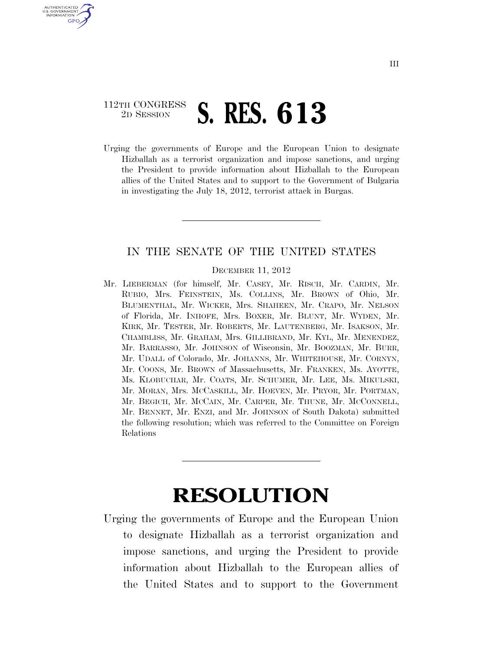## 112TH CONGRESS <sup>2D SESSION</sup> **S. RES. 613**

U.S. GOVERNMENT **GPO** 

> Urging the governments of Europe and the European Union to designate Hizballah as a terrorist organization and impose sanctions, and urging the President to provide information about Hizballah to the European allies of the United States and to support to the Government of Bulgaria in investigating the July 18, 2012, terrorist attack in Burgas.

## IN THE SENATE OF THE UNITED STATES

## DECEMBER 11, 2012

Mr. LIEBERMAN (for himself, Mr. CASEY, Mr. RISCH, Mr. CARDIN, Mr. RUBIO, Mrs. FEINSTEIN, Ms. COLLINS, Mr. BROWN of Ohio, Mr. BLUMENTHAL, Mr. WICKER, Mrs. SHAHEEN, Mr. CRAPO, Mr. NELSON of Florida, Mr. INHOFE, Mrs. BOXER, Mr. BLUNT, Mr. WYDEN, Mr. KIRK, Mr. TESTER, Mr. ROBERTS, Mr. LAUTENBERG, Mr. ISAKSON, Mr. CHAMBLISS, Mr. GRAHAM, Mrs. GILLIBRAND, Mr. KYL, Mr. MENENDEZ, Mr. BARRASSO, Mr. JOHNSON of Wisconsin, Mr. BOOZMAN, Mr. BURR, Mr. UDALL of Colorado, Mr. JOHANNS, Mr. WHITEHOUSE, Mr. CORNYN, Mr. COONS, Mr. BROWN of Massachusetts, Mr. FRANKEN, Ms. AYOTTE, Ms. KLOBUCHAR, Mr. COATS, Mr. SCHUMER, Mr. LEE, Ms. MIKULSKI, Mr. MORAN, Mrs. MCCASKILL, Mr. HOEVEN, Mr. PRYOR, Mr. PORTMAN, Mr. BEGICH, Mr. MCCAIN, Mr. CARPER, Mr. THUNE, Mr. MCCONNELL, Mr. BENNET, Mr. ENZI, and Mr. JOHNSON of South Dakota) submitted the following resolution; which was referred to the Committee on Foreign Relations

## **RESOLUTION**

Urging the governments of Europe and the European Union to designate Hizballah as a terrorist organization and impose sanctions, and urging the President to provide information about Hizballah to the European allies of the United States and to support to the Government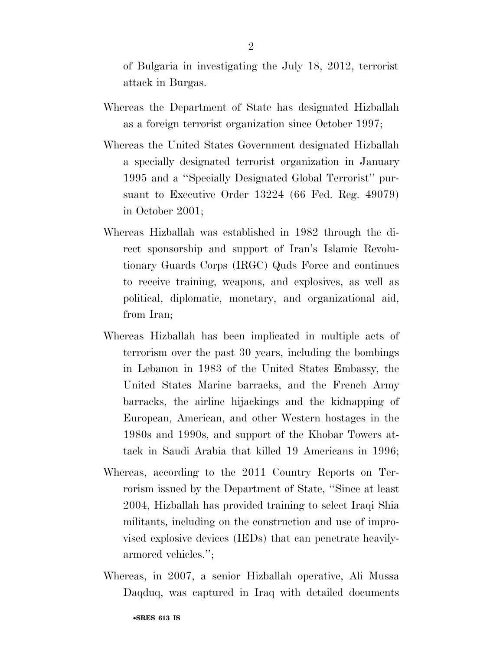of Bulgaria in investigating the July 18, 2012, terrorist attack in Burgas.

- Whereas the Department of State has designated Hizballah as a foreign terrorist organization since October 1997;
- Whereas the United States Government designated Hizballah a specially designated terrorist organization in January 1995 and a ''Specially Designated Global Terrorist'' pursuant to Executive Order 13224 (66 Fed. Reg. 49079) in October 2001;
- Whereas Hizballah was established in 1982 through the direct sponsorship and support of Iran's Islamic Revolutionary Guards Corps (IRGC) Quds Force and continues to receive training, weapons, and explosives, as well as political, diplomatic, monetary, and organizational aid, from Iran;
- Whereas Hizballah has been implicated in multiple acts of terrorism over the past 30 years, including the bombings in Lebanon in 1983 of the United States Embassy, the United States Marine barracks, and the French Army barracks, the airline hijackings and the kidnapping of European, American, and other Western hostages in the 1980s and 1990s, and support of the Khobar Towers attack in Saudi Arabia that killed 19 Americans in 1996;
- Whereas, according to the 2011 Country Reports on Terrorism issued by the Department of State, ''Since at least 2004, Hizballah has provided training to select Iraqi Shia militants, including on the construction and use of improvised explosive devices (IEDs) that can penetrate heavilyarmored vehicles.'';
- Whereas, in 2007, a senior Hizballah operative, Ali Mussa Daqduq, was captured in Iraq with detailed documents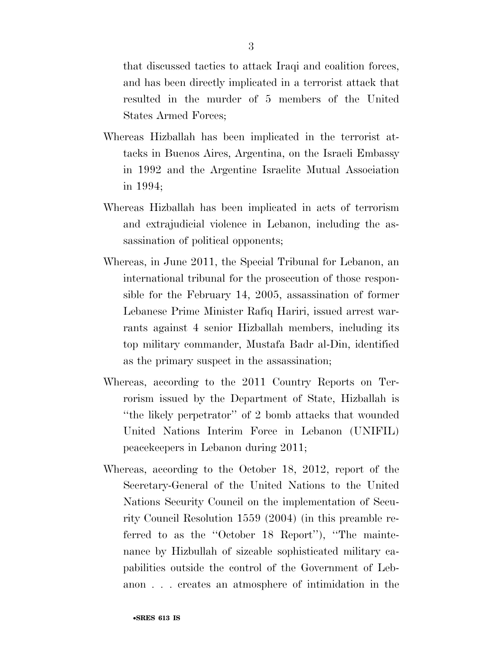that discussed tactics to attack Iraqi and coalition forces, and has been directly implicated in a terrorist attack that resulted in the murder of 5 members of the United States Armed Forces;

- Whereas Hizballah has been implicated in the terrorist attacks in Buenos Aires, Argentina, on the Israeli Embassy in 1992 and the Argentine Israelite Mutual Association in 1994;
- Whereas Hizballah has been implicated in acts of terrorism and extrajudicial violence in Lebanon, including the assassination of political opponents;
- Whereas, in June 2011, the Special Tribunal for Lebanon, an international tribunal for the prosecution of those responsible for the February 14, 2005, assassination of former Lebanese Prime Minister Rafiq Hariri, issued arrest warrants against 4 senior Hizballah members, including its top military commander, Mustafa Badr al-Din, identified as the primary suspect in the assassination;
- Whereas, according to the 2011 Country Reports on Terrorism issued by the Department of State, Hizballah is ''the likely perpetrator'' of 2 bomb attacks that wounded United Nations Interim Force in Lebanon (UNIFIL) peacekeepers in Lebanon during 2011;
- Whereas, according to the October 18, 2012, report of the Secretary-General of the United Nations to the United Nations Security Council on the implementation of Security Council Resolution 1559 (2004) (in this preamble referred to as the ''October 18 Report''), ''The maintenance by Hizbullah of sizeable sophisticated military capabilities outside the control of the Government of Lebanon . . . creates an atmosphere of intimidation in the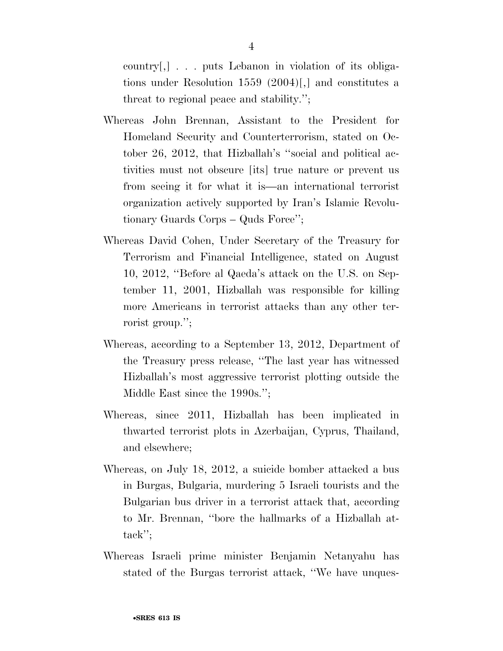country[,] . . . puts Lebanon in violation of its obligations under Resolution 1559 (2004)[,] and constitutes a threat to regional peace and stability.'';

- Whereas John Brennan, Assistant to the President for Homeland Security and Counterterrorism, stated on October 26, 2012, that Hizballah's ''social and political activities must not obscure [its] true nature or prevent us from seeing it for what it is—an international terrorist organization actively supported by Iran's Islamic Revolutionary Guards Corps – Quds Force'';
- Whereas David Cohen, Under Secretary of the Treasury for Terrorism and Financial Intelligence, stated on August 10, 2012, ''Before al Qaeda's attack on the U.S. on September 11, 2001, Hizballah was responsible for killing more Americans in terrorist attacks than any other terrorist group.'';
- Whereas, according to a September 13, 2012, Department of the Treasury press release, ''The last year has witnessed Hizballah's most aggressive terrorist plotting outside the Middle East since the 1990s.";
- Whereas, since 2011, Hizballah has been implicated in thwarted terrorist plots in Azerbaijan, Cyprus, Thailand, and elsewhere;
- Whereas, on July 18, 2012, a suicide bomber attacked a bus in Burgas, Bulgaria, murdering 5 Israeli tourists and the Bulgarian bus driver in a terrorist attack that, according to Mr. Brennan, ''bore the hallmarks of a Hizballah attack'';
- Whereas Israeli prime minister Benjamin Netanyahu has stated of the Burgas terrorist attack, ''We have unques-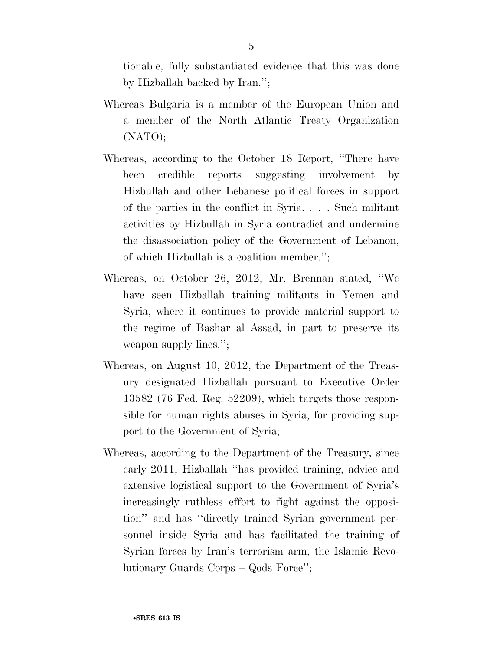tionable, fully substantiated evidence that this was done by Hizballah backed by Iran.'';

- Whereas Bulgaria is a member of the European Union and a member of the North Atlantic Treaty Organization (NATO);
- Whereas, according to the October 18 Report, ''There have been credible reports suggesting involvement by Hizbullah and other Lebanese political forces in support of the parties in the conflict in Syria. . . . Such militant activities by Hizbullah in Syria contradict and undermine the disassociation policy of the Government of Lebanon, of which Hizbullah is a coalition member.'';
- Whereas, on October 26, 2012, Mr. Brennan stated, ''We have seen Hizballah training militants in Yemen and Syria, where it continues to provide material support to the regime of Bashar al Assad, in part to preserve its weapon supply lines.'';
- Whereas, on August 10, 2012, the Department of the Treasury designated Hizballah pursuant to Executive Order 13582 (76 Fed. Reg. 52209), which targets those responsible for human rights abuses in Syria, for providing support to the Government of Syria;
- Whereas, according to the Department of the Treasury, since early 2011, Hizballah ''has provided training, advice and extensive logistical support to the Government of Syria's increasingly ruthless effort to fight against the opposition'' and has ''directly trained Syrian government personnel inside Syria and has facilitated the training of Syrian forces by Iran's terrorism arm, the Islamic Revolutionary Guards Corps – Qods Force'';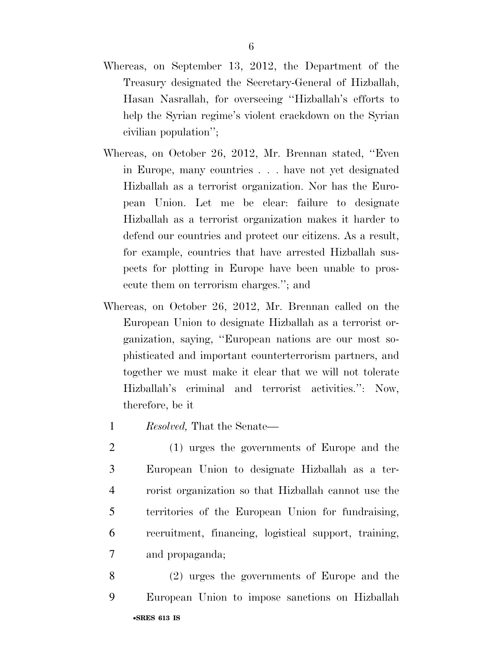- Whereas, on September 13, 2012, the Department of the Treasury designated the Secretary-General of Hizballah, Hasan Nasrallah, for overseeing ''Hizballah's efforts to help the Syrian regime's violent crackdown on the Syrian civilian population'';
- Whereas, on October 26, 2012, Mr. Brennan stated, ''Even in Europe, many countries . . . have not yet designated Hizballah as a terrorist organization. Nor has the European Union. Let me be clear: failure to designate Hizballah as a terrorist organization makes it harder to defend our countries and protect our citizens. As a result, for example, countries that have arrested Hizballah suspects for plotting in Europe have been unable to prosecute them on terrorism charges.''; and
- Whereas, on October 26, 2012, Mr. Brennan called on the European Union to designate Hizballah as a terrorist organization, saying, ''European nations are our most sophisticated and important counterterrorism partners, and together we must make it clear that we will not tolerate Hizballah's criminal and terrorist activities.'': Now, therefore, be it
	- 1 *Resolved,* That the Senate—
- 2 (1) urges the governments of Europe and the 3 European Union to designate Hizballah as a ter-4 rorist organization so that Hizballah cannot use the 5 territories of the European Union for fundraising, 6 recruitment, financing, logistical support, training, 7 and propaganda;
- •**SRES 613 IS**  8 (2) urges the governments of Europe and the 9 European Union to impose sanctions on Hizballah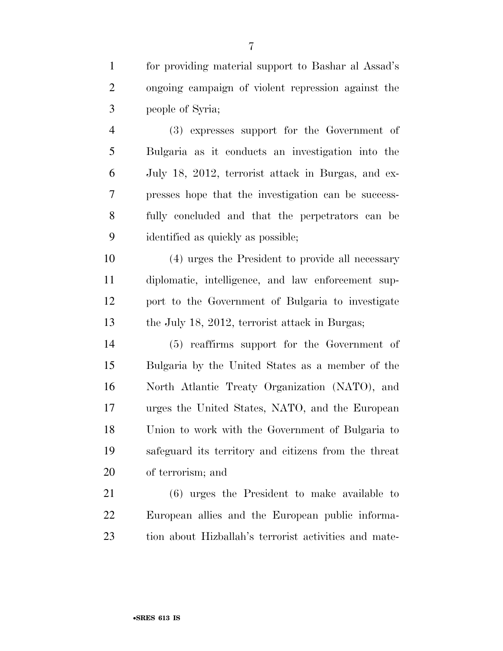for providing material support to Bashar al Assad's ongoing campaign of violent repression against the people of Syria;

 (3) expresses support for the Government of Bulgaria as it conducts an investigation into the July 18, 2012, terrorist attack in Burgas, and ex- presses hope that the investigation can be success- fully concluded and that the perpetrators can be identified as quickly as possible;

 (4) urges the President to provide all necessary diplomatic, intelligence, and law enforcement sup- port to the Government of Bulgaria to investigate 13 the July 18, 2012, terrorist attack in Burgas;

 (5) reaffirms support for the Government of Bulgaria by the United States as a member of the North Atlantic Treaty Organization (NATO), and urges the United States, NATO, and the European Union to work with the Government of Bulgaria to safeguard its territory and citizens from the threat of terrorism; and

 (6) urges the President to make available to European allies and the European public informa-tion about Hizballah's terrorist activities and mate-